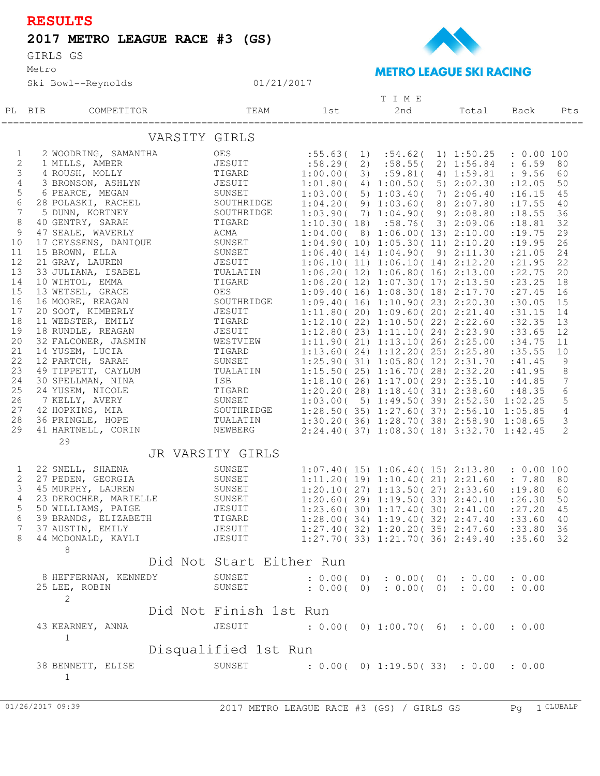| ۰. |  |
|----|--|
|    |  |

## **2017 METRO LEAGUE RACE #3 (GS)**

Metro GIRLS GS





## Ski Bowl--Reynolds 01/21/2017 PL BIB COMPETITOR 1st 2nd Total Pts T I M E TEAM 1st 2nd Total Back =================================================================================================== VARSITY GIRLS 1 2 WOODRING, SAMANTHA OES :55.63( 1) :54.62( 1) 1:50.25 : 0.00 100 2 1 MILLS, AMBER JESUIT :58.29( 2) :58.55( 2) 1:56.84 : 6.59 80 3 4 ROUSH, MOLLY TIGARD 1:00.00( 3) :59.81( 4) 1:59.81 : 9.56 60 4 3 BRONSON, ASHLYN JESUIT 1:01.80( 4) 1:00.50( 5) 2:02.30 :12.05 50 5 6 PEARCE, MEGAN SUNSET 1:03.00( 5) 1:03.40( 7) 2:06.40 :16.15 45 6 28 POLASKI, RACHEL SOUTHRIDGE 1:04.20( 9) 1:03.60( 8) 2:07.80 :17.55 40 7 5 DUNN, KORTNEY SOUTHRIDGE 1:03.90( 7) 1:04.90( 9) 2:08.80 :18.55 36 8 40 GENTRY, SARAH TIGARD 1:10.30( 18) :58.76( 3) 2:09.06 :18.81 32 9 47 SEALE, WAVERLY ACMA 1:04.00( 8) 1:06.00( 13) 2:10.00 :19.75 29 10 17 CEYSSENS, DANIQUE SUNSET 1:04.90( 10) 1:05.30( 11) 2:10.20 :19.95 26 11 15 BROWN, ELLA SUNSET 1:06.40( 14) 1:04.90( 9) 2:11.30 :21.05 24 12 21 GRAY, LAUREN JESUIT 1:06.10( 11) 1:06.10( 14) 2:12.20 :21.95 22 13 33 JULIANA, ISABEL TUALATIN 1:06.20( 12) 1:06.80( 16) 2:13.00 :22.75 20 14 10 WIHTOL, EMMA TIGARD 1:06.20( 12) 1:07.30( 17) 2:13.50 :23.25 18 15 13 WETSEL, GRACE OES 1:09.40( 16) 1:08.30( 18) 2:17.70 :27.45 16 16 16 MOORE, REAGAN SOUTHRIDGE 1:09.40( 16) 1:10.90( 23) 2:20.30 :30.05 15 17 20 SOOT, KIMBERLY JESUIT 1:11.80 (20) 1:09.60 (20) 2:21.40 :31.15 14 18 11 WEBSTER, EMILY TIGARD 1:12.10( 22) 1:10.50( 22) 2:22.60 :32.35 13 19 18 RUNDLE, REAGAN JESUIT 1:12.80 (23) 1:11.10 (24) 2:23.90 :33.65 12 20 32 FALCONER, JASMIN WESTVIEW 1:11.90( 21) 1:13.10( 26) 2:25.00 :34.75 11 21 14 YUSEM, LUCIA TIGARD 1:13.60( 24) 1:12.20( 25) 2:25.80 :35.55 10 22 12 PARTCH, SARAH SUNSET 1:25.90( 31) 1:05.80( 12) 2:31.70 :41.45 9 23 49 TIPPETT, CAYLUM TUALATIN 1:15.50( 25) 1:16.70( 28) 2:32.20 :41.95 8 24 30 SPELLMAN, NINA ISB 1:18.10( 26) 1:17.00( 29) 2:35.10 :44.85 7 25 24 YUSEM, NICOLE TIGARD 1:20.20( 28) 1:18.40( 31) 2:38.60 :48.35 6 26 7 KELLY, AVERY SUNSET 1:03.00( 5) 1:49.50( 39) 2:52.50 1:02.25 5 27 42 HOPKINS, MIA SOUTHRIDGE 1:28.50( 35) 1:27.60( 37) 2:56.10 1:05.85 4 28 36 PRINGLE, HOPE TUALATIN 1:30.20( 36) 1:28.70( 38) 2:58.90 1:08.65 3 29 41 HARTNELL, CORIN NEWBERG 2:24.40( 37) 1:08.30( 18) 3:32.70 1:42.45 2 29 JR VARSITY GIRLS 1 22 SNELL, SHAENA SUNSET 1:07.40( 15) 1:06.40( 15) 2:13.80 : 0.00 100 2 27 PEDEN, GEORGIA SUNSET 1:11.20 (19) 1:10.40 (21) 2:21.60 : 7.80 80 3 45 MURPHY, LAUREN SUNSET 1:20.10( 27) 1:13.50( 27) 2:33.60 :19.80 60 4 23 DEROCHER, MARIELLE SUNSET 1:20.60( 29) 1:19.50( 33) 2:40.10 :26.30 50 5 50 WILLIAMS, PAIGE JESUIT 1:23.60( 30) 1:17.40( 30) 2:41.00 :27.20 45 6 39 BRANDS, ELIZABETH TIGARD 1:28.00( 34) 1:19.40( 32) 2:47.40 :33.60 40 7 37 AUSTIN, EMILY JESUIT 1:27.40( 32) 1:20.20( 35) 2:47.60 :33.80 36 8 44 MCDONALD, KAYLI JESUIT 1:27.70( 33) 1:21.70( 36) 2:49.40 :35.60 32 8 Did Not Start Either Run 8 HEFFERNAN, KENNEDY SUNSET : 0.00(0): 0.00(0): 0.00 : 0.00 25 LEE, ROBIN SUNSET : 0.00( 0) : 0.00( 0) : 0.00 : 0.00 2 Did Not Finish 1st Run 43 KEARNEY, ANNA JESUIT : 0.00( 0) 1:00.70( 6) : 0.00 : 0.00  $\begin{array}{c} 1 \end{array}$ Disqualified 1st Run 38 BENNETT, ELISE SUNSET : 0.00( 0) 1:19.50( 33) : 0.00 : 0.00 1